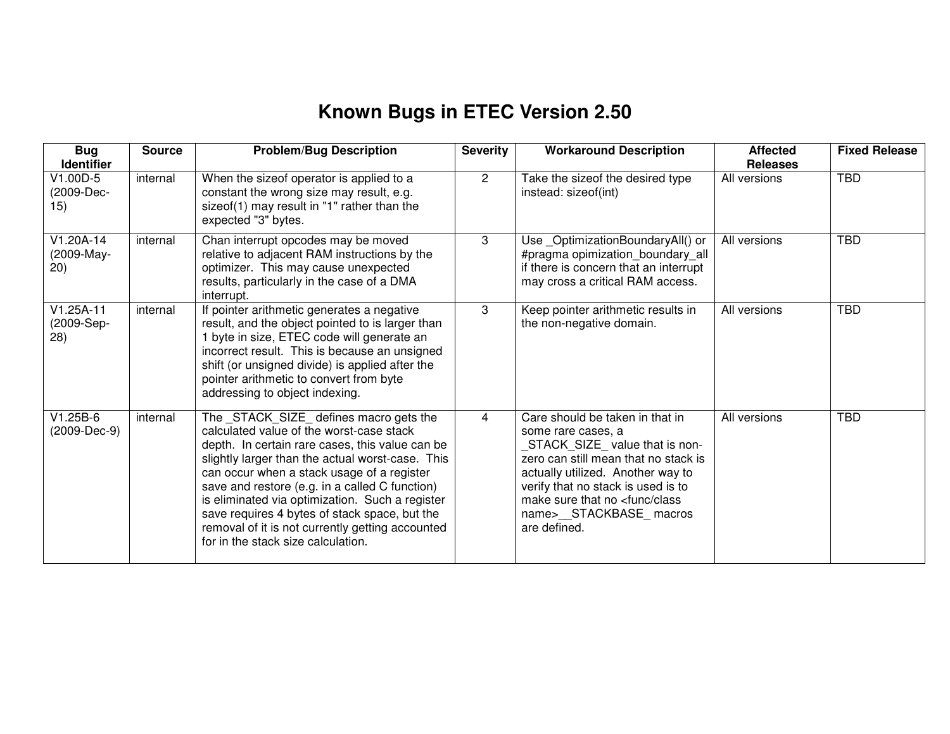## **Known Bugs in ETEC Version 2.50**

| <b>Bug</b><br><b>Identifier</b>   | <b>Source</b> | <b>Problem/Bug Description</b>                                                                                                                                                                                                                                                                                                                                                                                                                                                           | <b>Severity</b> | <b>Workaround Description</b>                                                                                                                                                                                                                                                                       | <b>Affected</b><br><b>Releases</b> | <b>Fixed Release</b> |
|-----------------------------------|---------------|------------------------------------------------------------------------------------------------------------------------------------------------------------------------------------------------------------------------------------------------------------------------------------------------------------------------------------------------------------------------------------------------------------------------------------------------------------------------------------------|-----------------|-----------------------------------------------------------------------------------------------------------------------------------------------------------------------------------------------------------------------------------------------------------------------------------------------------|------------------------------------|----------------------|
| $V1.00D-5$<br>(2009-Dec-<br>15)   | internal      | When the sizeof operator is applied to a<br>constant the wrong size may result, e.g.<br>sizeof(1) may result in "1" rather than the<br>expected "3" bytes.                                                                                                                                                                                                                                                                                                                               | $\mathbf{2}$    | Take the sizeof the desired type<br>instead: sizeof(int)                                                                                                                                                                                                                                            | All versions                       | <b>TBD</b>           |
| $V1.20A-14$<br>(2009-May-<br>(20) | internal      | Chan interrupt opcodes may be moved<br>relative to adjacent RAM instructions by the<br>optimizer. This may cause unexpected<br>results, particularly in the case of a DMA<br>interrupt.                                                                                                                                                                                                                                                                                                  | 3               | Use _OptimizationBoundaryAll() or<br>#pragma opimization_boundary_all<br>if there is concern that an interrupt<br>may cross a critical RAM access.                                                                                                                                                  | All versions                       | <b>TBD</b>           |
| $V1.25A-11$<br>(2009-Sep-<br>28)  | internal      | If pointer arithmetic generates a negative<br>result, and the object pointed to is larger than<br>1 byte in size, ETEC code will generate an<br>incorrect result. This is because an unsigned<br>shift (or unsigned divide) is applied after the<br>pointer arithmetic to convert from byte<br>addressing to object indexing.                                                                                                                                                            | 3               | Keep pointer arithmetic results in<br>the non-negative domain.                                                                                                                                                                                                                                      | All versions                       | <b>TBD</b>           |
| $V1.25B-6$<br>(2009-Dec-9)        | internal      | The _STACK_SIZE_ defines macro gets the<br>calculated value of the worst-case stack<br>depth. In certain rare cases, this value can be<br>slightly larger than the actual worst-case. This<br>can occur when a stack usage of a register<br>save and restore (e.g. in a called C function)<br>is eliminated via optimization. Such a register<br>save requires 4 bytes of stack space, but the<br>removal of it is not currently getting accounted<br>for in the stack size calculation. | 4               | Care should be taken in that in<br>some rare cases, a<br>STACK_SIZE_value that is non-<br>zero can still mean that no stack is<br>actually utilized. Another way to<br>verify that no stack is used is to<br>make sure that no <func class<br="">name&gt;__STACKBASE_macros<br/>are defined.</func> | All versions                       | <b>TBD</b>           |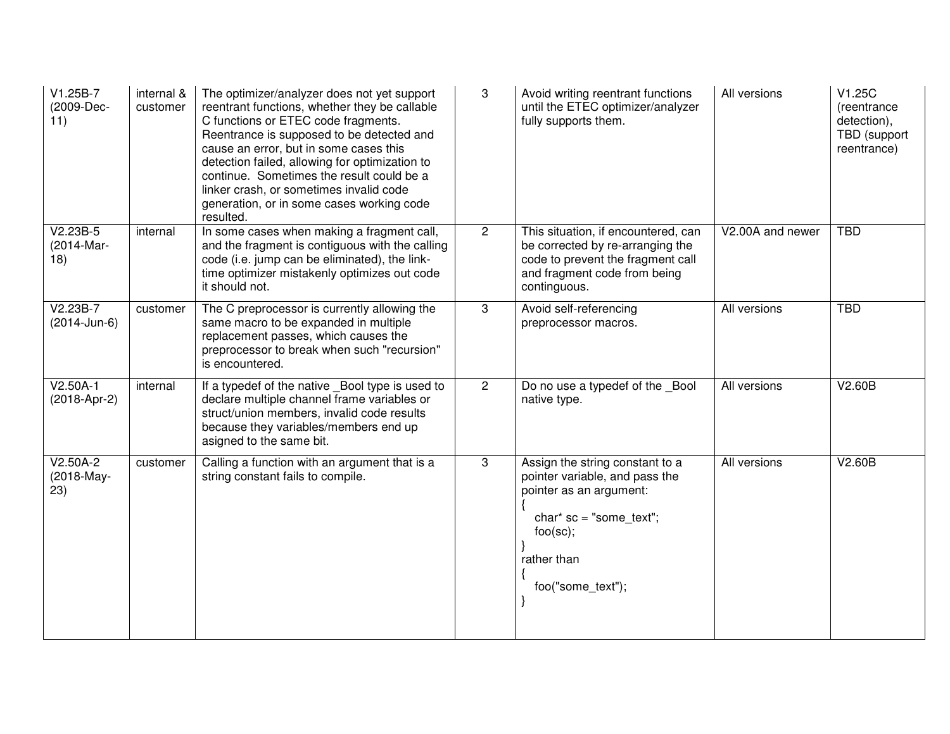| V1.25B-7<br>(2009-Dec-<br>11)   | internal &<br>customer | The optimizer/analyzer does not yet support<br>reentrant functions, whether they be callable<br>C functions or ETEC code fragments.<br>Reentrance is supposed to be detected and<br>cause an error, but in some cases this<br>detection failed, allowing for optimization to<br>continue. Sometimes the result could be a<br>linker crash, or sometimes invalid code<br>generation, or in some cases working code<br>resulted. | 3              | Avoid writing reentrant functions<br>until the ETEC optimizer/analyzer<br>fully supports them.                                                                            | All versions     | V1.25C<br>(reentrance<br>detection),<br>TBD (support<br>reentrance) |
|---------------------------------|------------------------|--------------------------------------------------------------------------------------------------------------------------------------------------------------------------------------------------------------------------------------------------------------------------------------------------------------------------------------------------------------------------------------------------------------------------------|----------------|---------------------------------------------------------------------------------------------------------------------------------------------------------------------------|------------------|---------------------------------------------------------------------|
| $V2.23B-5$<br>(2014-Mar-<br>18) | internal               | In some cases when making a fragment call,<br>and the fragment is contiguous with the calling<br>code (i.e. jump can be eliminated), the link-<br>time optimizer mistakenly optimizes out code<br>it should not.                                                                                                                                                                                                               | $\overline{2}$ | This situation, if encountered, can<br>be corrected by re-arranging the<br>code to prevent the fragment call<br>and fragment code from being<br>continguous.              | V2.00A and newer | <b>TBD</b>                                                          |
| $V2.23B-7$<br>(2014-Jun-6)      | customer               | The C preprocessor is currently allowing the<br>same macro to be expanded in multiple<br>replacement passes, which causes the<br>preprocessor to break when such "recursion"<br>is encountered.                                                                                                                                                                                                                                | 3              | Avoid self-referencing<br>preprocessor macros.                                                                                                                            | All versions     | <b>TBD</b>                                                          |
| $V2.50A-1$<br>(2018-Apr-2)      | internal               | If a typedef of the native _Bool type is used to<br>declare multiple channel frame variables or<br>struct/union members, invalid code results<br>because they variables/members end up<br>asigned to the same bit.                                                                                                                                                                                                             | $\overline{2}$ | Do no use a typedef of the Bool<br>native type.                                                                                                                           | All versions     | V2.60B                                                              |
| $V2.50A-2$<br>(2018-May-<br>23) | customer               | Calling a function with an argument that is a<br>string constant fails to compile.                                                                                                                                                                                                                                                                                                                                             | 3              | Assign the string constant to a<br>pointer variable, and pass the<br>pointer as an argument:<br>$char*$ sc = "some_text";<br>foo(sc);<br>rather than<br>foo("some_text"); | All versions     | V2.60B                                                              |